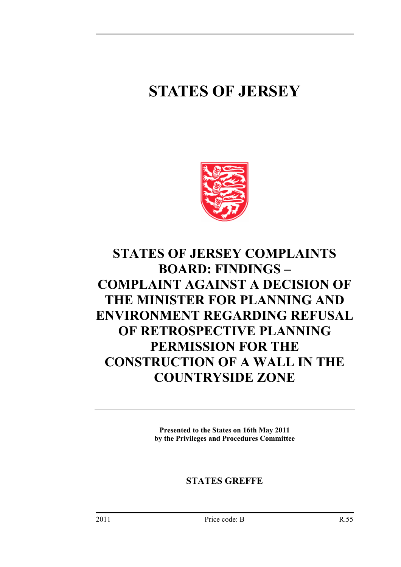# **STATES OF JERSEY**



## **STATES OF JERSEY COMPLAINTS BOARD: FINDINGS – COMPLAINT AGAINST A DECISION OF THE MINISTER FOR PLANNING AND ENVIRONMENT REGARDING REFUSAL OF RETROSPECTIVE PLANNING PERMISSION FOR THE CONSTRUCTION OF A WALL IN THE COUNTRYSIDE ZONE**

**Presented to the States on 16th May 2011 by the Privileges and Procedures Committee** 

### **STATES GREFFE**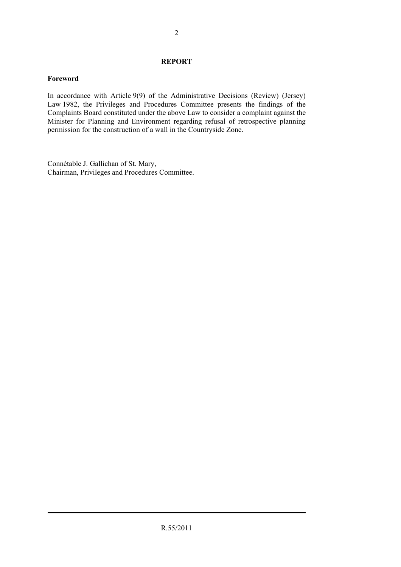#### **REPORT**

#### **Foreword**

In accordance with Article 9(9) of the Administrative Decisions (Review) (Jersey) Law 1982, the Privileges and Procedures Committee presents the findings of the Complaints Board constituted under the above Law to consider a complaint against the Minister for Planning and Environment regarding refusal of retrospective planning permission for the construction of a wall in the Countryside Zone.

Connétable J. Gallichan of St. Mary, Chairman, Privileges and Procedures Committee.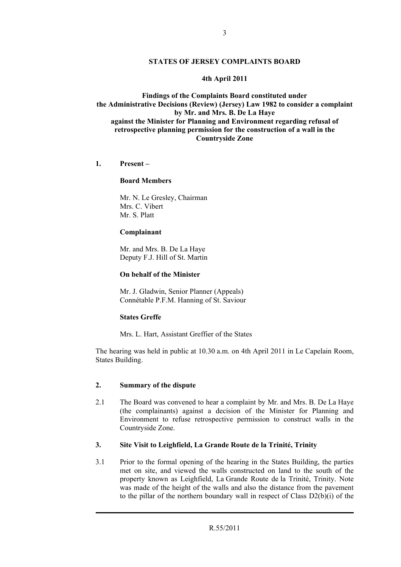#### **STATES OF JERSEY COMPLAINTS BOARD**

#### **4th April 2011**

**Findings of the Complaints Board constituted under the Administrative Decisions (Review) (Jersey) Law 1982 to consider a complaint by Mr. and Mrs. B. De La Haye against the Minister for Planning and Environment regarding refusal of retrospective planning permission for the construction of a wall in the Countryside Zone** 

#### **1. Present –**

#### **Board Members**

 Mr. N. Le Gresley, Chairman Mrs. C. Vibert Mr. S. Platt

#### **Complainant**

 Mr. and Mrs. B. De La Haye Deputy F.J. Hill of St. Martin

#### **On behalf of the Minister**

 Mr. J. Gladwin, Senior Planner (Appeals) Connétable P.F.M. Hanning of St. Saviour

#### **States Greffe**

Mrs. L. Hart, Assistant Greffier of the States

The hearing was held in public at 10.30 a.m. on 4th April 2011 in Le Capelain Room, States Building.

#### **2. Summary of the dispute**

2.1 The Board was convened to hear a complaint by Mr. and Mrs. B. De La Haye (the complainants) against a decision of the Minister for Planning and Environment to refuse retrospective permission to construct walls in the Countryside Zone.

#### **3. Site Visit to Leighfield, La Grande Route de la Trinité, Trinity**

3.1 Prior to the formal opening of the hearing in the States Building, the parties met on site, and viewed the walls constructed on land to the south of the property known as Leighfield, La Grande Route de la Trinité, Trinity. Note was made of the height of the walls and also the distance from the pavement to the pillar of the northern boundary wall in respect of Class  $D2(b)(i)$  of the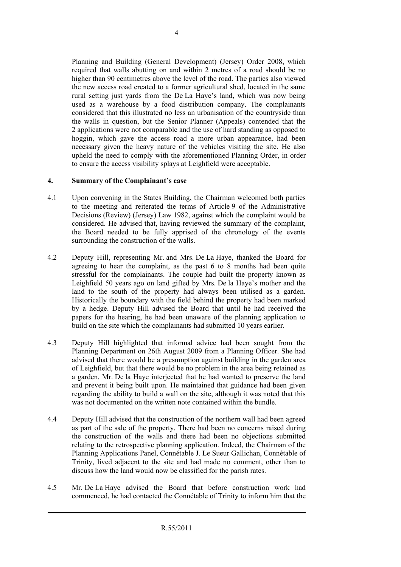Planning and Building (General Development) (Jersey) Order 2008, which required that walls abutting on and within 2 metres of a road should be no higher than 90 centimetres above the level of the road. The parties also viewed the new access road created to a former agricultural shed, located in the same rural setting just yards from the De La Haye's land, which was now being used as a warehouse by a food distribution company. The complainants considered that this illustrated no less an urbanisation of the countryside than the walls in question, but the Senior Planner (Appeals) contended that the 2 applications were not comparable and the use of hard standing as opposed to hoggin, which gave the access road a more urban appearance, had been necessary given the heavy nature of the vehicles visiting the site. He also upheld the need to comply with the aforementioned Planning Order, in order to ensure the access visibility splays at Leighfield were acceptable.

#### **4. Summary of the Complainant's case**

- 4.1 Upon convening in the States Building, the Chairman welcomed both parties to the meeting and reiterated the terms of Article 9 of the Administrative Decisions (Review) (Jersey) Law 1982, against which the complaint would be considered. He advised that, having reviewed the summary of the complaint, the Board needed to be fully apprised of the chronology of the events surrounding the construction of the walls.
- 4.2 Deputy Hill, representing Mr. and Mrs. De La Haye, thanked the Board for agreeing to hear the complaint, as the past 6 to 8 months had been quite stressful for the complainants. The couple had built the property known as Leighfield 50 years ago on land gifted by Mrs. De la Haye's mother and the land to the south of the property had always been utilised as a garden. Historically the boundary with the field behind the property had been marked by a hedge. Deputy Hill advised the Board that until he had received the papers for the hearing, he had been unaware of the planning application to build on the site which the complainants had submitted 10 years earlier.
- 4.3 Deputy Hill highlighted that informal advice had been sought from the Planning Department on 26th August 2009 from a Planning Officer. She had advised that there would be a presumption against building in the garden area of Leighfield, but that there would be no problem in the area being retained as a garden. Mr. De la Haye interjected that he had wanted to preserve the land and prevent it being built upon. He maintained that guidance had been given regarding the ability to build a wall on the site, although it was noted that this was not documented on the written note contained within the bundle.
- 4.4 Deputy Hill advised that the construction of the northern wall had been agreed as part of the sale of the property. There had been no concerns raised during the construction of the walls and there had been no objections submitted relating to the retrospective planning application. Indeed, the Chairman of the Planning Applications Panel, Connétable J. Le Sueur Gallichan, Connétable of Trinity, lived adjacent to the site and had made no comment, other than to discuss how the land would now be classified for the parish rates.
- 4.5 Mr. De La Haye advised the Board that before construction work had commenced, he had contacted the Connétable of Trinity to inform him that the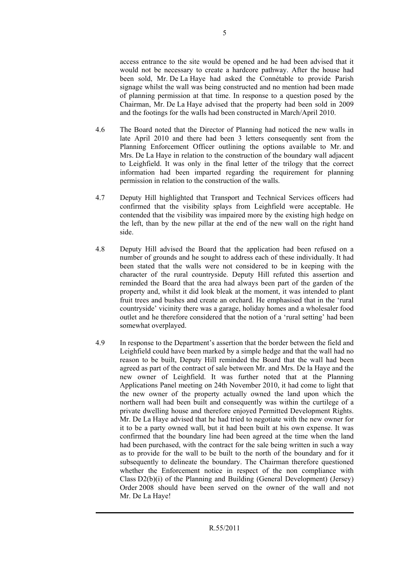access entrance to the site would be opened and he had been advised that it would not be necessary to create a hardcore pathway. After the house had been sold, Mr. De La Haye had asked the Connétable to provide Parish signage whilst the wall was being constructed and no mention had been made of planning permission at that time. In response to a question posed by the Chairman, Mr. De La Haye advised that the property had been sold in 2009 and the footings for the walls had been constructed in March/April 2010.

- 4.6 The Board noted that the Director of Planning had noticed the new walls in late April 2010 and there had been 3 letters consequently sent from the Planning Enforcement Officer outlining the options available to Mr. and Mrs. De La Haye in relation to the construction of the boundary wall adjacent to Leighfield. It was only in the final letter of the trilogy that the correct information had been imparted regarding the requirement for planning permission in relation to the construction of the walls.
- 4.7 Deputy Hill highlighted that Transport and Technical Services officers had confirmed that the visibility splays from Leighfield were acceptable. He contended that the visibility was impaired more by the existing high hedge on the left, than by the new pillar at the end of the new wall on the right hand side.
- 4.8 Deputy Hill advised the Board that the application had been refused on a number of grounds and he sought to address each of these individually. It had been stated that the walls were not considered to be in keeping with the character of the rural countryside. Deputy Hill refuted this assertion and reminded the Board that the area had always been part of the garden of the property and, whilst it did look bleak at the moment, it was intended to plant fruit trees and bushes and create an orchard. He emphasised that in the 'rural countryside' vicinity there was a garage, holiday homes and a wholesaler food outlet and he therefore considered that the notion of a 'rural setting' had been somewhat overplayed.
- 4.9 In response to the Department's assertion that the border between the field and Leighfield could have been marked by a simple hedge and that the wall had no reason to be built, Deputy Hill reminded the Board that the wall had been agreed as part of the contract of sale between Mr. and Mrs. De la Haye and the new owner of Leighfield. It was further noted that at the Planning Applications Panel meeting on 24th November 2010, it had come to light that the new owner of the property actually owned the land upon which the northern wall had been built and consequently was within the curtilege of a private dwelling house and therefore enjoyed Permitted Development Rights. Mr. De La Haye advised that he had tried to negotiate with the new owner for it to be a party owned wall, but it had been built at his own expense. It was confirmed that the boundary line had been agreed at the time when the land had been purchased, with the contract for the sale being written in such a way as to provide for the wall to be built to the north of the boundary and for it subsequently to delineate the boundary. The Chairman therefore questioned whether the Enforcement notice in respect of the non compliance with Class D2(b)(i) of the Planning and Building (General Development) (Jersey) Order 2008 should have been served on the owner of the wall and not Mr. De La Haye!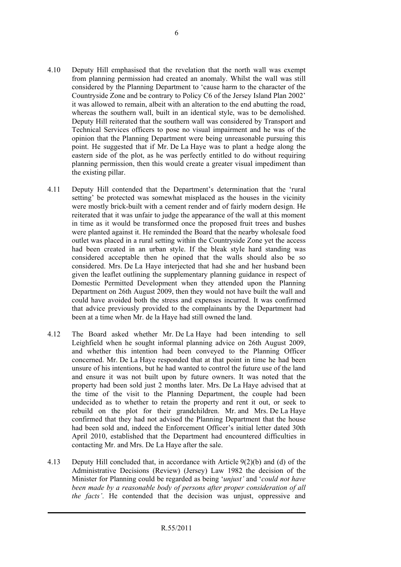- 4.10 Deputy Hill emphasised that the revelation that the north wall was exempt from planning permission had created an anomaly. Whilst the wall was still considered by the Planning Department to 'cause harm to the character of the Countryside Zone and be contrary to Policy C6 of the Jersey Island Plan 2002' it was allowed to remain, albeit with an alteration to the end abutting the road, whereas the southern wall, built in an identical style, was to be demolished. Deputy Hill reiterated that the southern wall was considered by Transport and Technical Services officers to pose no visual impairment and he was of the opinion that the Planning Department were being unreasonable pursuing this point. He suggested that if Mr. De La Haye was to plant a hedge along the eastern side of the plot, as he was perfectly entitled to do without requiring planning permission, then this would create a greater visual impediment than the existing pillar.
- 4.11 Deputy Hill contended that the Department's determination that the 'rural setting' be protected was somewhat misplaced as the houses in the vicinity were mostly brick-built with a cement render and of fairly modern design. He reiterated that it was unfair to judge the appearance of the wall at this moment in time as it would be transformed once the proposed fruit trees and bushes were planted against it. He reminded the Board that the nearby wholesale food outlet was placed in a rural setting within the Countryside Zone yet the access had been created in an urban style. If the bleak style hard standing was considered acceptable then he opined that the walls should also be so considered. Mrs. De La Haye interjected that had she and her husband been given the leaflet outlining the supplementary planning guidance in respect of Domestic Permitted Development when they attended upon the Planning Department on 26th August 2009, then they would not have built the wall and could have avoided both the stress and expenses incurred. It was confirmed that advice previously provided to the complainants by the Department had been at a time when Mr. de la Haye had still owned the land.
- 4.12 The Board asked whether Mr. De La Haye had been intending to sell Leighfield when he sought informal planning advice on 26th August 2009, and whether this intention had been conveyed to the Planning Officer concerned. Mr. De La Haye responded that at that point in time he had been unsure of his intentions, but he had wanted to control the future use of the land and ensure it was not built upon by future owners. It was noted that the property had been sold just 2 months later. Mrs. De La Haye advised that at the time of the visit to the Planning Department, the couple had been undecided as to whether to retain the property and rent it out, or seek to rebuild on the plot for their grandchildren. Mr. and Mrs. De La Haye confirmed that they had not advised the Planning Department that the house had been sold and, indeed the Enforcement Officer's initial letter dated 30th April 2010, established that the Department had encountered difficulties in contacting Mr. and Mrs. De La Haye after the sale.
- 4.13 Deputy Hill concluded that, in accordance with Article 9(2)(b) and (d) of the Administrative Decisions (Review) (Jersey) Law 1982 the decision of the Minister for Planning could be regarded as being '*unjust'* and '*could not have been made by a reasonable body of persons after proper consideration of all the facts'*. He contended that the decision was unjust, oppressive and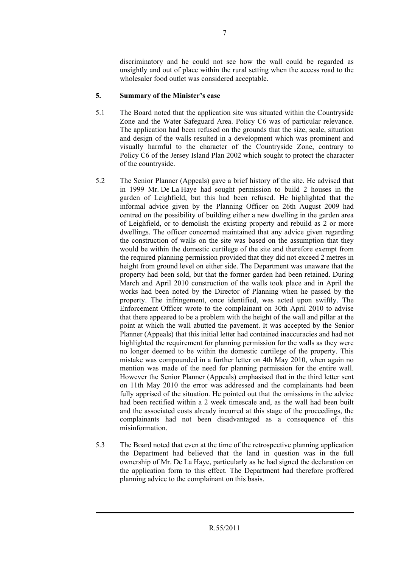discriminatory and he could not see how the wall could be regarded as unsightly and out of place within the rural setting when the access road to the wholesaler food outlet was considered acceptable.

#### **5. Summary of the Minister's case**

- 5.1 The Board noted that the application site was situated within the Countryside Zone and the Water Safeguard Area. Policy C6 was of particular relevance. The application had been refused on the grounds that the size, scale, situation and design of the walls resulted in a development which was prominent and visually harmful to the character of the Countryside Zone, contrary to Policy C6 of the Jersey Island Plan 2002 which sought to protect the character of the countryside.
- 5.2 The Senior Planner (Appeals) gave a brief history of the site. He advised that in 1999 Mr. De La Haye had sought permission to build 2 houses in the garden of Leighfield, but this had been refused. He highlighted that the informal advice given by the Planning Officer on 26th August 2009 had centred on the possibility of building either a new dwelling in the garden area of Leighfield, or to demolish the existing property and rebuild as 2 or more dwellings. The officer concerned maintained that any advice given regarding the construction of walls on the site was based on the assumption that they would be within the domestic curtilege of the site and therefore exempt from the required planning permission provided that they did not exceed 2 metres in height from ground level on either side. The Department was unaware that the property had been sold, but that the former garden had been retained. During March and April 2010 construction of the walls took place and in April the works had been noted by the Director of Planning when he passed by the property. The infringement, once identified, was acted upon swiftly. The Enforcement Officer wrote to the complainant on 30th April 2010 to advise that there appeared to be a problem with the height of the wall and pillar at the point at which the wall abutted the pavement. It was accepted by the Senior Planner (Appeals) that this initial letter had contained inaccuracies and had not highlighted the requirement for planning permission for the walls as they were no longer deemed to be within the domestic curtilege of the property. This mistake was compounded in a further letter on 4th May 2010, when again no mention was made of the need for planning permission for the entire wall. However the Senior Planner (Appeals) emphasised that in the third letter sent on 11th May 2010 the error was addressed and the complainants had been fully apprised of the situation. He pointed out that the omissions in the advice had been rectified within a 2 week timescale and, as the wall had been built and the associated costs already incurred at this stage of the proceedings, the complainants had not been disadvantaged as a consequence of this misinformation.
- 5.3 The Board noted that even at the time of the retrospective planning application the Department had believed that the land in question was in the full ownership of Mr. De La Haye, particularly as he had signed the declaration on the application form to this effect. The Department had therefore proffered planning advice to the complainant on this basis.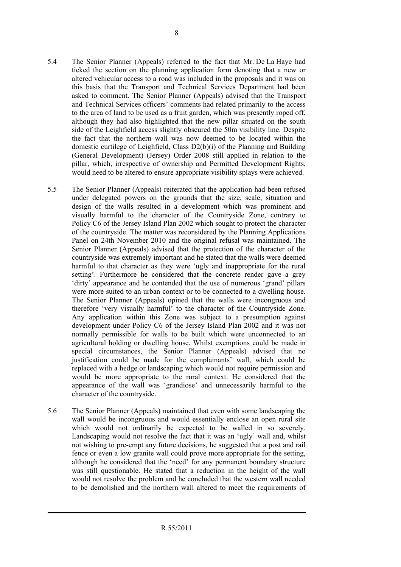- 5.4 The Senior Planner (Appeals) referred to the fact that Mr. De La Haye had ticked the section on the planning application form denoting that a new or altered vehicular access to a road was included in the proposals and it was on this basis that the Transport and Technical Services Department had been asked to comment. The Senior Planner (Appeals) advised that the Transport and Technical Services officers' comments had related primarily to the access to the area of land to be used as a fruit garden, which was presently roped off, although they had also highlighted that the new pillar situated on the south side of the Leighfield access slightly obscured the 50m visibility line. Despite the fact that the northern wall was now deemed to be located within the domestic curtilege of Leighfield, Class D2(b)(i) of the Planning and Building (General Development) (Jersey) Order 2008 still applied in relation to the pillar, which, irrespective of ownership and Permitted Development Rights, would need to be altered to ensure appropriate visibility splays were achieved.
- 5.5 The Senior Planner (Appeals) reiterated that the application had been refused under delegated powers on the grounds that the size, scale, situation and design of the walls resulted in a development which was prominent and visually harmful to the character of the Countryside Zone, contrary to Policy C6 of the Jersey Island Plan 2002 which sought to protect the character of the countryside. The matter was reconsidered by the Planning Applications Panel on 24th November 2010 and the original refusal was maintained. The Senior Planner (Appeals) advised that the protection of the character of the countryside was extremely important and he stated that the walls were deemed harmful to that character as they were 'ugly and inappropriate for the rural setting'. Furthermore he considered that the concrete render gave a grey 'dirty' appearance and he contended that the use of numerous 'grand' pillars were more suited to an urban context or to be connected to a dwelling house. The Senior Planner (Appeals) opined that the walls were incongruous and therefore 'very visually harmful' to the character of the Countryside Zone. Any application within this Zone was subject to a presumption against development under Policy C6 of the Jersey Island Plan 2002 and it was not normally permissible for walls to be built which were unconnected to an agricultural holding or dwelling house. Whilst exemptions could be made in special circumstances, the Senior Planner (Appeals) advised that no justification could be made for the complainants' wall, which could be replaced with a hedge or landscaping which would not require permission and would be more appropriate to the rural context. He considered that the appearance of the wall was 'grandiose' and unnecessarily harmful to the character of the countryside.
- 5.6 The Senior Planner (Appeals) maintained that even with some landscaping the wall would be incongruous and would essentially enclose an open rural site which would not ordinarily be expected to be walled in so severely. Landscaping would not resolve the fact that it was an 'ugly' wall and, whilst not wishing to pre-empt any future decisions, he suggested that a post and rail fence or even a low granite wall could prove more appropriate for the setting, although he considered that the 'need' for any permanent boundary structure was still questionable. He stated that a reduction in the height of the wall would not resolve the problem and he concluded that the western wall needed to be demolished and the northern wall altered to meet the requirements of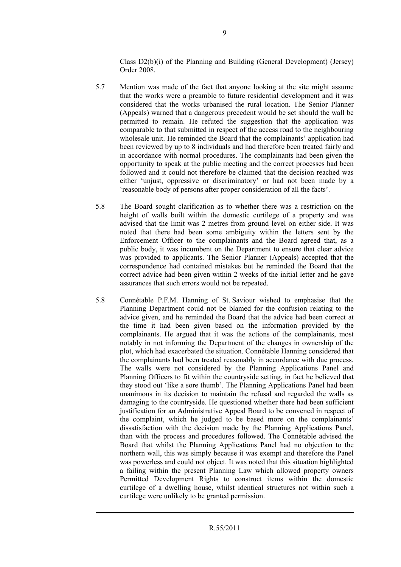Class D2(b)(i) of the Planning and Building (General Development) (Jersey) Order 2008.

- 5.7 Mention was made of the fact that anyone looking at the site might assume that the works were a preamble to future residential development and it was considered that the works urbanised the rural location. The Senior Planner (Appeals) warned that a dangerous precedent would be set should the wall be permitted to remain. He refuted the suggestion that the application was comparable to that submitted in respect of the access road to the neighbouring wholesale unit. He reminded the Board that the complainants' application had been reviewed by up to 8 individuals and had therefore been treated fairly and in accordance with normal procedures. The complainants had been given the opportunity to speak at the public meeting and the correct processes had been followed and it could not therefore be claimed that the decision reached was either 'unjust, oppressive or discriminatory' or had not been made by a 'reasonable body of persons after proper consideration of all the facts'.
- 5.8 The Board sought clarification as to whether there was a restriction on the height of walls built within the domestic curtilege of a property and was advised that the limit was 2 metres from ground level on either side. It was noted that there had been some ambiguity within the letters sent by the Enforcement Officer to the complainants and the Board agreed that, as a public body, it was incumbent on the Department to ensure that clear advice was provided to applicants. The Senior Planner (Appeals) accepted that the correspondence had contained mistakes but he reminded the Board that the correct advice had been given within 2 weeks of the initial letter and he gave assurances that such errors would not be repeated.
- 5.8 Connétable P.F.M. Hanning of St. Saviour wished to emphasise that the Planning Department could not be blamed for the confusion relating to the advice given, and he reminded the Board that the advice had been correct at the time it had been given based on the information provided by the complainants. He argued that it was the actions of the complainants, most notably in not informing the Department of the changes in ownership of the plot, which had exacerbated the situation. Connétable Hanning considered that the complainants had been treated reasonably in accordance with due process. The walls were not considered by the Planning Applications Panel and Planning Officers to fit within the countryside setting, in fact he believed that they stood out 'like a sore thumb'. The Planning Applications Panel had been unanimous in its decision to maintain the refusal and regarded the walls as damaging to the countryside. He questioned whether there had been sufficient justification for an Administrative Appeal Board to be convened in respect of the complaint, which he judged to be based more on the complainants' dissatisfaction with the decision made by the Planning Applications Panel, than with the process and procedures followed. The Connétable advised the Board that whilst the Planning Applications Panel had no objection to the northern wall, this was simply because it was exempt and therefore the Panel was powerless and could not object. It was noted that this situation highlighted a failing within the present Planning Law which allowed property owners Permitted Development Rights to construct items within the domestic curtilege of a dwelling house, whilst identical structures not within such a curtilege were unlikely to be granted permission.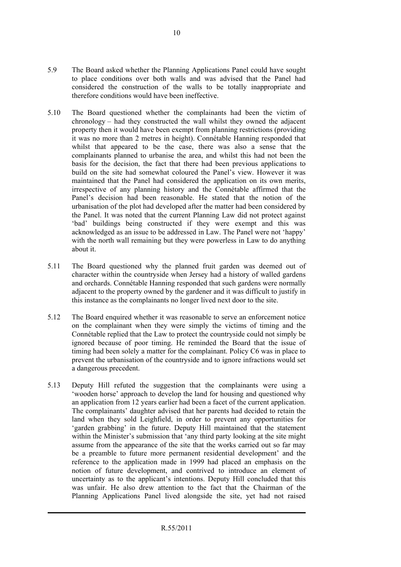- 5.9 The Board asked whether the Planning Applications Panel could have sought to place conditions over both walls and was advised that the Panel had considered the construction of the walls to be totally inappropriate and therefore conditions would have been ineffective.
- 5.10 The Board questioned whether the complainants had been the victim of chronology – had they constructed the wall whilst they owned the adjacent property then it would have been exempt from planning restrictions (providing it was no more than 2 metres in height). Connétable Hanning responded that whilst that appeared to be the case, there was also a sense that the complainants planned to urbanise the area, and whilst this had not been the basis for the decision, the fact that there had been previous applications to build on the site had somewhat coloured the Panel's view. However it was maintained that the Panel had considered the application on its own merits, irrespective of any planning history and the Connétable affirmed that the Panel's decision had been reasonable. He stated that the notion of the urbanisation of the plot had developed after the matter had been considered by the Panel. It was noted that the current Planning Law did not protect against 'bad' buildings being constructed if they were exempt and this was acknowledged as an issue to be addressed in Law. The Panel were not 'happy' with the north wall remaining but they were powerless in Law to do anything about it.
- 5.11 The Board questioned why the planned fruit garden was deemed out of character within the countryside when Jersey had a history of walled gardens and orchards. Connétable Hanning responded that such gardens were normally adjacent to the property owned by the gardener and it was difficult to justify in this instance as the complainants no longer lived next door to the site.
- 5.12 The Board enquired whether it was reasonable to serve an enforcement notice on the complainant when they were simply the victims of timing and the Connétable replied that the Law to protect the countryside could not simply be ignored because of poor timing. He reminded the Board that the issue of timing had been solely a matter for the complainant. Policy C6 was in place to prevent the urbanisation of the countryside and to ignore infractions would set a dangerous precedent.
- 5.13 Deputy Hill refuted the suggestion that the complainants were using a 'wooden horse' approach to develop the land for housing and questioned why an application from 12 years earlier had been a facet of the current application. The complainants' daughter advised that her parents had decided to retain the land when they sold Leighfield, in order to prevent any opportunities for 'garden grabbing' in the future. Deputy Hill maintained that the statement within the Minister's submission that 'any third party looking at the site might assume from the appearance of the site that the works carried out so far may be a preamble to future more permanent residential development' and the reference to the application made in 1999 had placed an emphasis on the notion of future development, and contrived to introduce an element of uncertainty as to the applicant's intentions. Deputy Hill concluded that this was unfair. He also drew attention to the fact that the Chairman of the Planning Applications Panel lived alongside the site, yet had not raised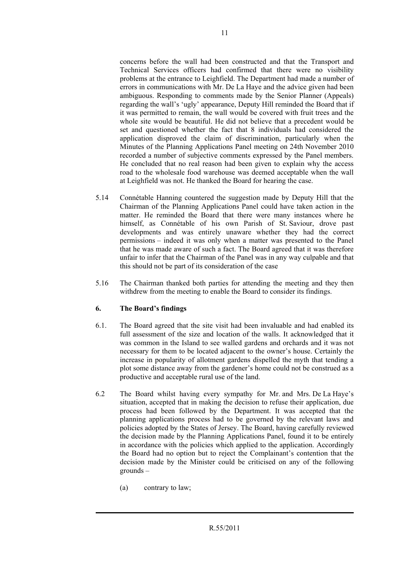concerns before the wall had been constructed and that the Transport and Technical Services officers had confirmed that there were no visibility problems at the entrance to Leighfield. The Department had made a number of errors in communications with Mr. De La Haye and the advice given had been ambiguous. Responding to comments made by the Senior Planner (Appeals) regarding the wall's 'ugly' appearance, Deputy Hill reminded the Board that if it was permitted to remain, the wall would be covered with fruit trees and the whole site would be beautiful. He did not believe that a precedent would be set and questioned whether the fact that 8 individuals had considered the application disproved the claim of discrimination, particularly when the Minutes of the Planning Applications Panel meeting on 24th November 2010 recorded a number of subjective comments expressed by the Panel members. He concluded that no real reason had been given to explain why the access road to the wholesale food warehouse was deemed acceptable when the wall at Leighfield was not. He thanked the Board for hearing the case.

- 5.14 Connétable Hanning countered the suggestion made by Deputy Hill that the Chairman of the Planning Applications Panel could have taken action in the matter. He reminded the Board that there were many instances where he himself, as Connétable of his own Parish of St. Saviour, drove past developments and was entirely unaware whether they had the correct permissions – indeed it was only when a matter was presented to the Panel that he was made aware of such a fact. The Board agreed that it was therefore unfair to infer that the Chairman of the Panel was in any way culpable and that this should not be part of its consideration of the case
- 5.16 The Chairman thanked both parties for attending the meeting and they then withdrew from the meeting to enable the Board to consider its findings.

#### **6. The Board's findings**

- 6.1. The Board agreed that the site visit had been invaluable and had enabled its full assessment of the size and location of the walls. It acknowledged that it was common in the Island to see walled gardens and orchards and it was not necessary for them to be located adjacent to the owner's house. Certainly the increase in popularity of allotment gardens dispelled the myth that tending a plot some distance away from the gardener's home could not be construed as a productive and acceptable rural use of the land.
- 6.2 The Board whilst having every sympathy for Mr. and Mrs. De La Haye's situation, accepted that in making the decision to refuse their application, due process had been followed by the Department. It was accepted that the planning applications process had to be governed by the relevant laws and policies adopted by the States of Jersey. The Board, having carefully reviewed the decision made by the Planning Applications Panel, found it to be entirely in accordance with the policies which applied to the application. Accordingly the Board had no option but to reject the Complainant's contention that the decision made by the Minister could be criticised on any of the following grounds –
	- (a) contrary to law;